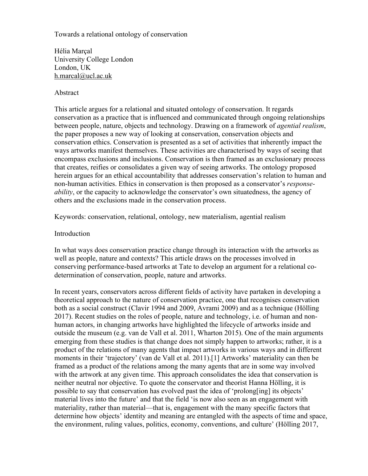Towards a relational ontology of conservation

Hélia Marçal University College London London, UK h.marcal@ucl.ac.uk

#### Abstract

This article argues for a relational and situated ontology of conservation. It regards conservation as a practice that is influenced and communicated through ongoing relationships between people, nature, objects and technology. Drawing on a framework of *agential realism*, the paper proposes a new way of looking at conservation, conservation objects and conservation ethics. Conservation is presented as a set of activities that inherently impact the ways artworks manifest themselves. These activities are characterised by ways of seeing that encompass exclusions and inclusions. Conservation is then framed as an exclusionary process that creates, reifies or consolidates a given way of seeing artworks. The ontology proposed herein argues for an ethical accountability that addresses conservation's relation to human and non-human activities. Ethics in conservation is then proposed as a conservator's *responseability*, or the capacity to acknowledge the conservator's own situatedness, the agency of others and the exclusions made in the conservation process.

Keywords: conservation, relational, ontology, new materialism, agential realism

### Introduction

In what ways does conservation practice change through its interaction with the artworks as well as people, nature and contexts? This article draws on the processes involved in conserving performance-based artworks at Tate to develop an argument for a relational codetermination of conservation, people, nature and artworks.

In recent years, conservators across different fields of activity have partaken in developing a theoretical approach to the nature of conservation practice, one that recognises conservation both as a social construct (Clavir 1994 and 2009, Avrami 2009) and as a technique (Hölling 2017). Recent studies on the roles of people, nature and technology, i.e. of human and nonhuman actors, in changing artworks have highlighted the lifecycle of artworks inside and outside the museum (e.g. van de Vall et al. 2011, Wharton 2015). One of the main arguments emerging from these studies is that change does not simply happen to artworks; rather, it is a product of the relations of many agents that impact artworks in various ways and in different moments in their 'trajectory' (van de Vall et al. 2011).[1] Artworks' materiality can then be framed as a product of the relations among the many agents that are in some way involved with the artwork at any given time. This approach consolidates the idea that conservation is neither neutral nor objective. To quote the conservator and theorist Hanna Hölling, it is possible to say that conservation has evolved past the idea of 'prolong[ing] its objects' material lives into the future' and that the field 'is now also seen as an engagement with materiality, rather than material—that is, engagement with the many specific factors that determine how objects' identity and meaning are entangled with the aspects of time and space, the environment, ruling values, politics, economy, conventions, and culture' (Hölling 2017,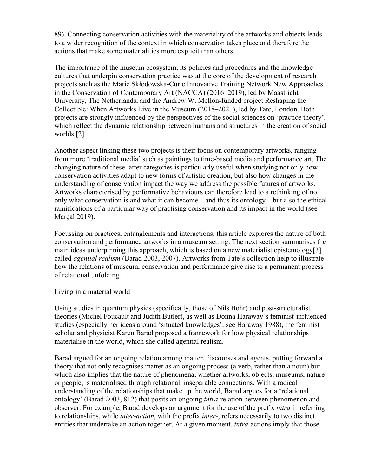89). Connecting conservation activities with the materiality of the artworks and objects leads to a wider recognition of the context in which conservation takes place and therefore the actions that make some materialities more explicit than others.

The importance of the museum ecosystem, its policies and procedures and the knowledge cultures that underpin conservation practice was at the core of the development of research projects such as the Marie Skłodowska-Curie Innovative Training Network New Approaches in the Conservation of Contemporary Art (NACCA) (2016–2019), led by Maastricht University, The Netherlands, and the Andrew W. Mellon-funded project Reshaping the Collectible: When Artworks Live in the Museum (2018–2021), led by Tate, London. Both projects are strongly influenced by the perspectives of the social sciences on 'practice theory', which reflect the dynamic relationship between humans and structures in the creation of social worlds.[2]

Another aspect linking these two projects is their focus on contemporary artworks, ranging from more 'traditional media' such as paintings to time-based media and performance art. The changing nature of these latter categories is particularly useful when studying not only how conservation activities adapt to new forms of artistic creation, but also how changes in the understanding of conservation impact the way we address the possible futures of artworks. Artworks characterised by performative behaviours can therefore lead to a rethinking of not only what conservation is and what it can become – and thus its ontology – but also the ethical ramifications of a particular way of practising conservation and its impact in the world (see Marçal 2019).

Focussing on practices, entanglements and interactions, this article explores the nature of both conservation and performance artworks in a museum setting. The next section summarises the main ideas underpinning this approach, which is based on a new materialist epistemology[3] called *agential realism* (Barad 2003, 2007). Artworks from Tate's collection help to illustrate how the relations of museum, conservation and performance give rise to a permanent process of relational unfolding.

Living in a material world

Using studies in quantum physics (specifically, those of Nils Bohr) and post-structuralist theories (Michel Foucault and Judith Butler), as well as Donna Haraway's feminist-influenced studies (especially her ideas around 'situated knowledges'; see Haraway 1988), the feminist scholar and physicist Karen Barad proposed a framework for how physical relationships materialise in the world, which she called agential realism.

Barad argued for an ongoing relation among matter, discourses and agents, putting forward a theory that not only recognises matter as an ongoing process (a verb, rather than a noun) but which also implies that the nature of phenomena, whether artworks, objects, museums, nature or people, is materialised through relational, inseparable connections. With a radical understanding of the relationships that make up the world, Barad argues for a 'relational ontology' (Barad 2003, 812) that posits an ongoing *intra*-relation between phenomenon and observer. For example, Barad develops an argument for the use of the prefix *intra* in referring to relationships, while *inter-action*, with the prefix *inter-*, refers necessarily to two distinct entities that undertake an action together. At a given moment, *intra*-actions imply that those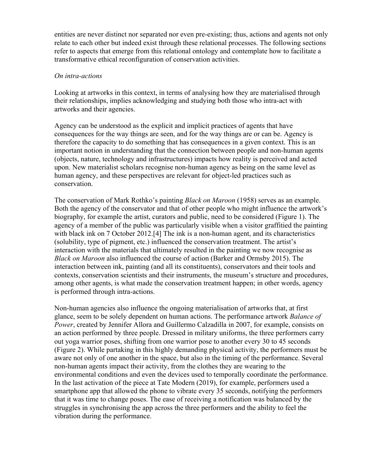entities are never distinct nor separated nor even pre-existing; thus, actions and agents not only relate to each other but indeed exist through these relational processes. The following sections refer to aspects that emerge from this relational ontology and contemplate how to facilitate a transformative ethical reconfiguration of conservation activities.

### *On intra-actions*

Looking at artworks in this context, in terms of analysing how they are materialised through their relationships, implies acknowledging and studying both those who intra-act with artworks and their agencies.

Agency can be understood as the explicit and implicit practices of agents that have consequences for the way things are seen, and for the way things are or can be. Agency is therefore the capacity to do something that has consequences in a given context. This is an important notion in understanding that the connection between people and non-human agents (objects, nature, technology and infrastructures) impacts how reality is perceived and acted upon. New materialist scholars recognise non-human agency as being on the same level as human agency, and these perspectives are relevant for object-led practices such as conservation.

The conservation of Mark Rothko's painting *Black on Maroon* (1958) serves as an example. Both the agency of the conservator and that of other people who might influence the artwork's biography, for example the artist, curators and public, need to be considered (Figure 1). The agency of a member of the public was particularly visible when a visitor graffitied the painting with black ink on 7 October 2012.<sup>[4]</sup> The ink is a non-human agent, and its characteristics (solubility, type of pigment, etc.) influenced the conservation treatment. The artist's interaction with the materials that ultimately resulted in the painting we now recognise as *Black on Maroon* also influenced the course of action (Barker and Ormsby 2015). The interaction between ink, painting (and all its constituents), conservators and their tools and contexts, conservation scientists and their instruments, the museum's structure and procedures, among other agents, is what made the conservation treatment happen; in other words, agency is performed through intra-actions.

Non-human agencies also influence the ongoing materialisation of artworks that, at first glance, seem to be solely dependent on human actions. The performance artwork *Balance of Power*, created by Jennifer Allora and Guillermo Calzadilla in 2007, for example, consists on an action performed by three people. Dressed in military uniforms, the three performers carry out yoga warrior poses, shifting from one warrior pose to another every 30 to 45 seconds (Figure 2). While partaking in this highly demanding physical activity, the performers must be aware not only of one another in the space, but also in the timing of the performance. Several non-human agents impact their activity, from the clothes they are wearing to the environmental conditions and even the devices used to temporally coordinate the performance. In the last activation of the piece at Tate Modern (2019), for example, performers used a smartphone app that allowed the phone to vibrate every 35 seconds, notifying the performers that it was time to change poses. The ease of receiving a notification was balanced by the struggles in synchronising the app across the three performers and the ability to feel the vibration during the performance.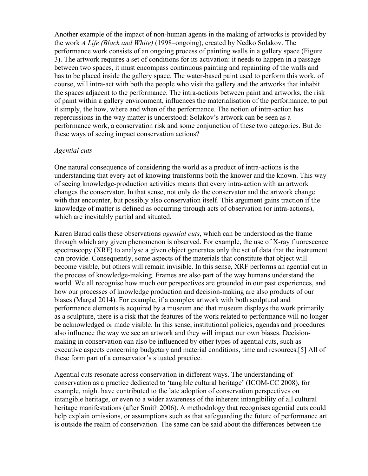Another example of the impact of non-human agents in the making of artworks is provided by the work *A Life (Black and White)* (1998–ongoing), created by Nedko Solakov. The performance work consists of an ongoing process of painting walls in a gallery space (Figure 3). The artwork requires a set of conditions for its activation: it needs to happen in a passage between two spaces, it must encompass continuous painting and repainting of the walls and has to be placed inside the gallery space. The water-based paint used to perform this work, of course, will intra-act with both the people who visit the gallery and the artworks that inhabit the spaces adjacent to the performance. The intra-actions between paint and artworks, the risk of paint within a gallery environment, influences the materialisation of the performance; to put it simply, the how, where and when of the performance. The notion of intra-action has repercussions in the way matter is understood: Solakov's artwork can be seen as a performance work, a conservation risk and some conjunction of these two categories. But do these ways of seeing impact conservation actions?

### *Agential cuts*

One natural consequence of considering the world as a product of intra-actions is the understanding that every act of knowing transforms both the knower and the known. This way of seeing knowledge-production activities means that every intra-action with an artwork changes the conservator. In that sense, not only do the conservator and the artwork change with that encounter, but possibly also conservation itself. This argument gains traction if the knowledge of matter is defined as occurring through acts of observation (or intra-actions), which are inevitably partial and situated.

Karen Barad calls these observations *agential cuts*, which can be understood as the frame through which any given phenomenon is observed. For example, the use of X-ray fluorescence spectroscopy (XRF) to analyse a given object generates only the set of data that the instrument can provide. Consequently, some aspects of the materials that constitute that object will become visible, but others will remain invisible. In this sense, XRF performs an agential cut in the process of knowledge-making. Frames are also part of the way humans understand the world. We all recognise how much our perspectives are grounded in our past experiences, and how our processes of knowledge production and decision-making are also products of our biases (Marçal 2014). For example, if a complex artwork with both sculptural and performance elements is acquired by a museum and that museum displays the work primarily as a sculpture, there is a risk that the features of the work related to performance will no longer be acknowledged or made visible. In this sense, institutional policies, agendas and procedures also influence the way we see an artwork and they will impact our own biases. Decisionmaking in conservation can also be influenced by other types of agential cuts, such as executive aspects concerning budgetary and material conditions, time and resources.[5] All of these form part of a conservator's situated practice.

Agential cuts resonate across conservation in different ways. The understanding of conservation as a practice dedicated to 'tangible cultural heritage' (ICOM-CC 2008), for example, might have contributed to the late adoption of conservation perspectives on intangible heritage, or even to a wider awareness of the inherent intangibility of all cultural heritage manifestations (after Smith 2006). A methodology that recognises agential cuts could help explain omissions, or assumptions such as that safeguarding the future of performance art is outside the realm of conservation. The same can be said about the differences between the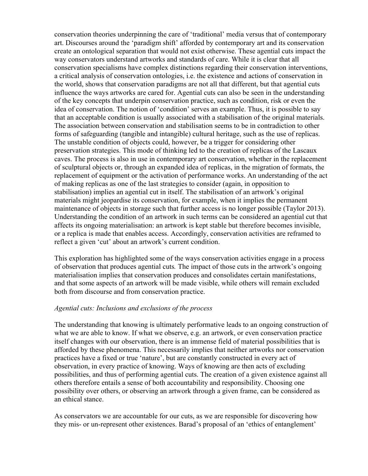conservation theories underpinning the care of 'traditional' media versus that of contemporary art. Discourses around the 'paradigm shift' afforded by contemporary art and its conservation create an ontological separation that would not exist otherwise. These agential cuts impact the way conservators understand artworks and standards of care. While it is clear that all conservation specialisms have complex distinctions regarding their conservation interventions, a critical analysis of conservation ontologies, i.e. the existence and actions of conservation in the world, shows that conservation paradigms are not all that different, but that agential cuts influence the ways artworks are cared for. Agential cuts can also be seen in the understanding of the key concepts that underpin conservation practice, such as condition, risk or even the idea of conservation. The notion of 'condition' serves an example. Thus, it is possible to say that an acceptable condition is usually associated with a stabilisation of the original materials. The association between conservation and stabilisation seems to be in contradiction to other forms of safeguarding (tangible and intangible) cultural heritage, such as the use of replicas. The unstable condition of objects could, however, be a trigger for considering other preservation strategies. This mode of thinking led to the creation of replicas of the Lascaux caves. The process is also in use in contemporary art conservation, whether in the replacement of sculptural objects or, through an expanded idea of replicas, in the migration of formats, the replacement of equipment or the activation of performance works. An understanding of the act of making replicas as one of the last strategies to consider (again, in opposition to stabilisation) implies an agential cut in itself. The stabilisation of an artwork's original materials might jeopardise its conservation, for example, when it implies the permanent maintenance of objects in storage such that further access is no longer possible (Taylor 2013). Understanding the condition of an artwork in such terms can be considered an agential cut that affects its ongoing materialisation: an artwork is kept stable but therefore becomes invisible, or a replica is made that enables access. Accordingly, conservation activities are reframed to reflect a given 'cut' about an artwork's current condition.

This exploration has highlighted some of the ways conservation activities engage in a process of observation that produces agential cuts*.* The impact of those cuts in the artwork's ongoing materialisation implies that conservation produces and consolidates certain manifestations, and that some aspects of an artwork will be made visible, while others will remain excluded both from discourse and from conservation practice.

### *Agential cuts: Inclusions and exclusions of the process*

The understanding that knowing is ultimately performative leads to an ongoing construction of what we are able to know. If what we observe, e.g. an artwork, or even conservation practice itself changes with our observation, there is an immense field of material possibilities that is afforded by these phenomena. This necessarily implies that neither artworks nor conservation practices have a fixed or true 'nature', but are constantly constructed in every act of observation, in every practice of knowing. Ways of knowing are then acts of excluding possibilities, and thus of performing agential cuts. The creation of a given existence against all others therefore entails a sense of both accountability and responsibility. Choosing one possibility over others, or observing an artwork through a given frame, can be considered as an ethical stance.

As conservators we are accountable for our cuts, as we are responsible for discovering how they mis- or un-represent other existences. Barad's proposal of an 'ethics of entanglement'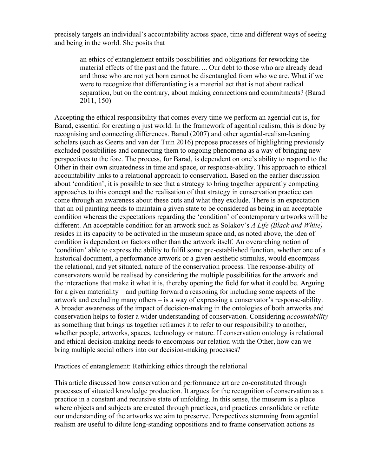precisely targets an individual's accountability across space, time and different ways of seeing and being in the world. She posits that

an ethics of entanglement entails possibilities and obligations for reworking the material effects of the past and the future. ... Our debt to those who are already dead and those who are not yet born cannot be disentangled from who we are. What if we were to recognize that differentiating is a material act that is not about radical separation, but on the contrary, about making connections and commitments? (Barad 2011, 150)

Accepting the ethical responsibility that comes every time we perform an agential cut is, for Barad, essential for creating a just world. In the framework of agential realism, this is done by recognising and connecting differences. Barad (2007) and other agential-realism-leaning scholars (such as Geerts and van der Tuin 2016) propose processes of highlighting previously excluded possibilities and connecting them to ongoing phenomena as a way of bringing new perspectives to the fore. The process, for Barad, is dependent on one's ability to respond to the Other in their own situatedness in time and space, or response-ability. This approach to ethical accountability links to a relational approach to conservation. Based on the earlier discussion about 'condition', it is possible to see that a strategy to bring together apparently competing approaches to this concept and the realisation of that strategy in conservation practice can come through an awareness about these cuts and what they exclude. There is an expectation that an oil painting needs to maintain a given state to be considered as being in an acceptable condition whereas the expectations regarding the 'condition' of contemporary artworks will be different. An acceptable condition for an artwork such as Solakov's *A Life (Black and White)* resides in its capacity to be activated in the museum space and, as noted above, the idea of condition is dependent on factors other than the artwork itself. An overarching notion of 'condition' able to express the ability to fulfil some pre-established function, whether one of a historical document, a performance artwork or a given aesthetic stimulus, would encompass the relational, and yet situated, nature of the conservation process. The response-ability of conservators would be realised by considering the multiple possibilities for the artwork and the interactions that make it what it is, thereby opening the field for what it could be. Arguing for a given materiality – and putting forward a reasoning for including some aspects of the artwork and excluding many others – is a way of expressing a conservator's response-ability. A broader awareness of the impact of decision-making in the ontologies of both artworks and conservation helps to foster a wider understanding of conservation. Considering *accountability* as something that brings us together reframes it to refer to our responsibility to another, whether people, artworks, spaces, technology or nature. If conservation ontology is relational and ethical decision-making needs to encompass our relation with the Other, how can we bring multiple social others into our decision-making processes?

Practices of entanglement: Rethinking ethics through the relational

This article discussed how conservation and performance art are co-constituted through processes of situated knowledge production. It argues for the recognition of conservation as a practice in a constant and recursive state of unfolding. In this sense, the museum is a place where objects and subjects are created through practices, and practices consolidate or refute our understanding of the artworks we aim to preserve. Perspectives stemming from agential realism are useful to dilute long-standing oppositions and to frame conservation actions as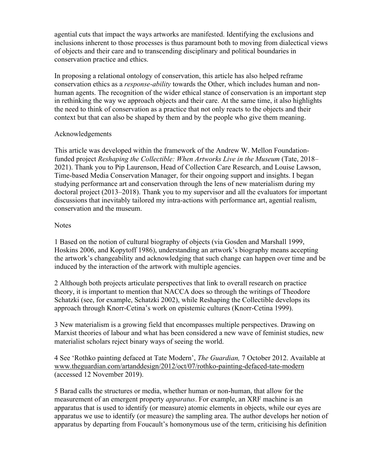agential cuts that impact the ways artworks are manifested. Identifying the exclusions and inclusions inherent to those processes is thus paramount both to moving from dialectical views of objects and their care and to transcending disciplinary and political boundaries in conservation practice and ethics.

In proposing a relational ontology of conservation, this article has also helped reframe conservation ethics as a *response-ability* towards the Other, which includes human and nonhuman agents. The recognition of the wider ethical stance of conservation is an important step in rethinking the way we approach objects and their care. At the same time, it also highlights the need to think of conservation as a practice that not only reacts to the objects and their context but that can also be shaped by them and by the people who give them meaning.

# Acknowledgements

This article was developed within the framework of the Andrew W. Mellon Foundationfunded project *Reshaping the Collectible: When Artworks Live in the Museum* (Tate, 2018– 2021). Thank you to Pip Laurenson, Head of Collection Care Research, and Louise Lawson, Time-based Media Conservation Manager, for their ongoing support and insights. I began studying performance art and conservation through the lens of new materialism during my doctoral project (2013–2018). Thank you to my supervisor and all the evaluators for important discussions that inevitably tailored my intra-actions with performance art, agential realism, conservation and the museum.

# **Notes**

1 Based on the notion of cultural biography of objects (via Gosden and Marshall 1999, Hoskins 2006, and Kopytoff 1986), understanding an artwork's biography means accepting the artwork's changeability and acknowledging that such change can happen over time and be induced by the interaction of the artwork with multiple agencies.

2 Although both projects articulate perspectives that link to overall research on practice theory, it is important to mention that NACCA does so through the writings of Theodore Schatzki (see, for example, Schatzki 2002), while Reshaping the Collectible develops its approach through Knorr-Cetina's work on epistemic cultures (Knorr-Cetina 1999).

3 New materialism is a growing field that encompasses multiple perspectives. Drawing on Marxist theories of labour and what has been considered a new wave of feminist studies, new materialist scholars reject binary ways of seeing the world.

4 See 'Rothko painting defaced at Tate Modern', *The Guardian,* 7 October 2012. Available at www.theguardian.com/artanddesign/2012/oct/07/rothko-painting-defaced-tate-modern (accessed 12 November 2019).

5 Barad calls the structures or media, whether human or non-human, that allow for the measurement of an emergent property *apparatus*. For example, an XRF machine is an apparatus that is used to identify (or measure) atomic elements in objects, while our eyes are apparatus we use to identify (or measure) the sampling area. The author develops her notion of apparatus by departing from Foucault's homonymous use of the term, criticising his definition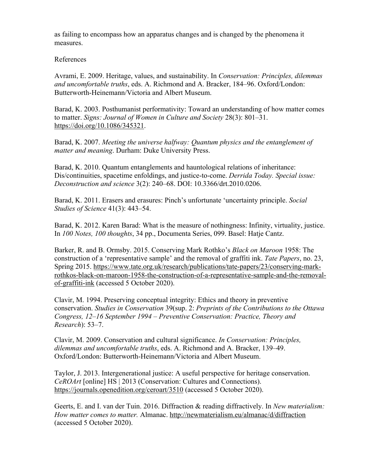as failing to encompass how an apparatus changes and is changed by the phenomena it measures.

### References

Avrami, E. 2009. Heritage, values, and sustainability. In *Conservation: Principles, dilemmas and uncomfortable truths*, eds. A. Richmond and A. Bracker, 184–96. Oxford/London: Butterworth-Heinemann/Victoria and Albert Museum.

Barad, K. 2003. Posthumanist performativity: Toward an understanding of how matter comes to matter. *Signs: Journal of Women in Culture and Society* 28(3): 801–31. https://doi.org/10.1086/345321.

Barad, K. 2007. *Meeting the universe halfway: Quantum physics and the entanglement of matter and meaning*. Durham: Duke University Press.

Barad, K. 2010. Quantum entanglements and hauntological relations of inheritance: Dis/continuities, spacetime enfoldings, and justice-to-come. *Derrida Today. Special issue: Deconstruction and science* 3(2): 240–68. DOI: 10.3366/drt.2010.0206.

Barad, K. 2011. Erasers and erasures: Pinch's unfortunate 'uncertainty principle. *Social Studies of Science* 41(3): 443–54.

Barad, K. 2012. Karen Barad: What is the measure of nothingness: Infinity, virtuality, justice. In *100 Notes, 100 thoughts*, 34 pp., Documenta Series, 099. Basel: Hatje Cantz.

Barker, R. and B. Ormsby. 2015. Conserving Mark Rothko's *Black on Maroon* 1958: The construction of a 'representative sample' and the removal of graffiti ink. *Tate Papers*, no. 23, Spring 2015. https://www.tate.org.uk/research/publications/tate-papers/23/conserving-markrothkos-black-on-maroon-1958-the-construction-of-a-representative-sample-and-the-removalof-graffiti-ink (accessed 5 October 2020).

Clavir, M. 1994. Preserving conceptual integrity: Ethics and theory in preventive conservation. *Studies in Conservation* 39(sup. 2: *Preprints of the Contributions to the Ottawa Congress, 12–16 September 1994 – Preventive Conservation: Practice, Theory and Research*): 53–7.

Clavir, M. 2009. Conservation and cultural significance. *In Conservation: Principles, dilemmas and uncomfortable truths*, eds. A. Richmond and A. Bracker, 139–49. Oxford/London: Butterworth-Heinemann/Victoria and Albert Museum.

Taylor, J. 2013. Intergenerational justice: A useful perspective for heritage conservation. *CeROArt* [online] HS | 2013 (Conservation: Cultures and Connections). https://journals.openedition.org/ceroart/3510 (accessed 5 October 2020).

Geerts, E. and I. van der Tuin. 2016. Diffraction & reading diffractively. In *New materialism: How matter comes to matter.* Almanac. http://newmaterialism.eu/almanac/d/diffraction (accessed 5 October 2020).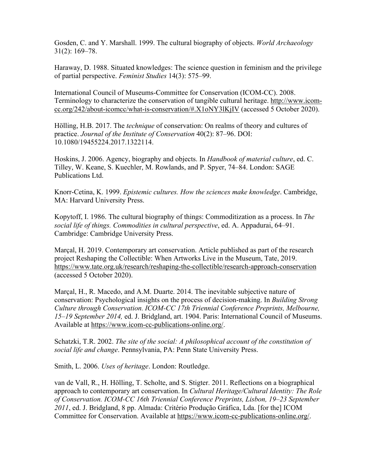Gosden, C. and Y. Marshall. 1999. The cultural biography of objects. *World Archaeology* 31(2): 169–78.

Haraway, D. 1988. Situated knowledges: The science question in feminism and the privilege of partial perspective. *Feminist Studies* 14(3): 575–99.

International Council of Museums-Committee for Conservation (ICOM-CC). 2008. Terminology to characterize the conservation of tangible cultural heritage. http://www.icomcc.org/242/about-icomcc/what-is-conservation/#.X1oNY3lKjIV (accessed 5 October 2020).

Hölling, H.B. 2017. The *technique* of conservation: On realms of theory and cultures of practice. *Journal of the Institute of Conservation* 40(2): 87–96. DOI: 10.1080/19455224.2017.1322114.

Hoskins, J. 2006. Agency, biography and objects. In *Handbook of material culture*, ed. C. Tilley, W. Keane, S. Kuechler, M. Rowlands, and P. Spyer, 74–84. London: SAGE Publications Ltd.

Knorr-Cetina, K. 1999. *Epistemic cultures. How the sciences make knowledge*. Cambridge, MA: Harvard University Press.

Kopytoff, I. 1986. The cultural biography of things: Commoditization as a process. In *The social life of things. Commodities in cultural perspective*, ed. A. Appadurai, 64–91. Cambridge: Cambridge University Press.

Marçal, H. 2019. Contemporary art conservation. Article published as part of the research project Reshaping the Collectible: When Artworks Live in the Museum, Tate, 2019. https://www.tate.org.uk/research/reshaping-the-collectible/research-approach-conservation (accessed 5 October 2020).

Marçal, H., R. Macedo, and A.M. Duarte. 2014. The inevitable subjective nature of conservation: Psychological insights on the process of decision-making. In *Building Strong Culture through Conservation. ICOM-CC 17th Triennial Conference Preprints, Melbourne, 15–19 September 2014,* ed. J. Bridgland, art. 1904. Paris: International Council of Museums. Available at https://www.icom-cc-publications-online.org/.

Schatzki, T.R. 2002. *The site of the social: A philosophical account of the constitution of social life and change*. Pennsylvania, PA: Penn State University Press.

Smith, L. 2006. *Uses of heritage*. London: Routledge.

van de Vall, R., H. Hölling, T. Scholte, and S. Stigter. 2011. Reflections on a biographical approach to contemporary art conservation. In *Cultural Heritage/Cultural Identity: The Role of Conservation. ICOM-CC 16th Triennial Conference Preprints, Lisbon, 19–23 September 2011*, ed. J. Bridgland, 8 pp. Almada: Critério Produção Gráfica, Lda. [for the] ICOM Committee for Conservation. Available at https://www.icom-cc-publications-online.org/.